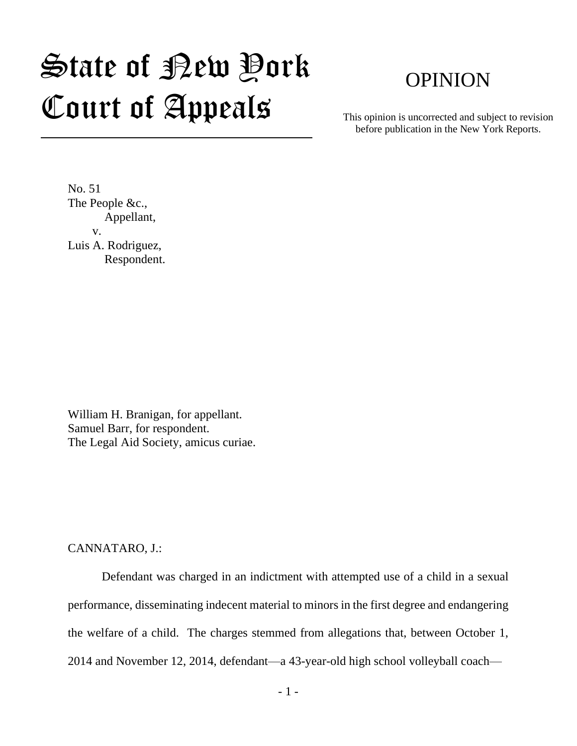## State of New York Court of Appeals

## OPINION

This opinion is uncorrected and subject to revision before publication in the New York Reports.

No. 51 The People &c., Appellant, v. Luis A. Rodriguez, Respondent.

William H. Branigan, for appellant. Samuel Barr, for respondent. The Legal Aid Society, amicus curiae.

## CANNATARO, J.:

Defendant was charged in an indictment with attempted use of a child in a sexual performance, disseminating indecent material to minors in the first degree and endangering the welfare of a child. The charges stemmed from allegations that, between October 1, 2014 and November 12, 2014, defendant—a 43-year-old high school volleyball coach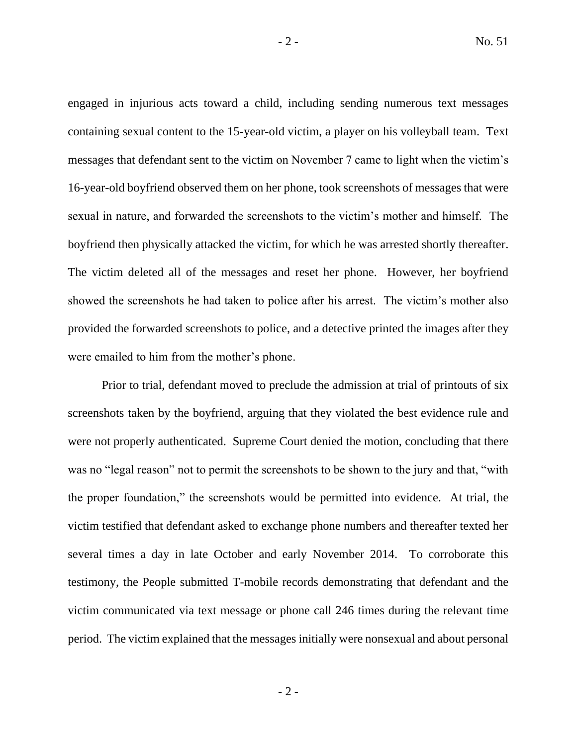engaged in injurious acts toward a child, including sending numerous text messages containing sexual content to the 15-year-old victim, a player on his volleyball team. Text messages that defendant sent to the victim on November 7 came to light when the victim's 16-year-old boyfriend observed them on her phone, took screenshots of messages that were sexual in nature, and forwarded the screenshots to the victim's mother and himself. The boyfriend then physically attacked the victim, for which he was arrested shortly thereafter. The victim deleted all of the messages and reset her phone. However, her boyfriend showed the screenshots he had taken to police after his arrest. The victim's mother also provided the forwarded screenshots to police, and a detective printed the images after they were emailed to him from the mother's phone.

Prior to trial, defendant moved to preclude the admission at trial of printouts of six screenshots taken by the boyfriend, arguing that they violated the best evidence rule and were not properly authenticated. Supreme Court denied the motion, concluding that there was no "legal reason" not to permit the screenshots to be shown to the jury and that, "with the proper foundation," the screenshots would be permitted into evidence. At trial, the victim testified that defendant asked to exchange phone numbers and thereafter texted her several times a day in late October and early November 2014. To corroborate this testimony, the People submitted T-mobile records demonstrating that defendant and the victim communicated via text message or phone call 246 times during the relevant time period. The victim explained that the messages initially were nonsexual and about personal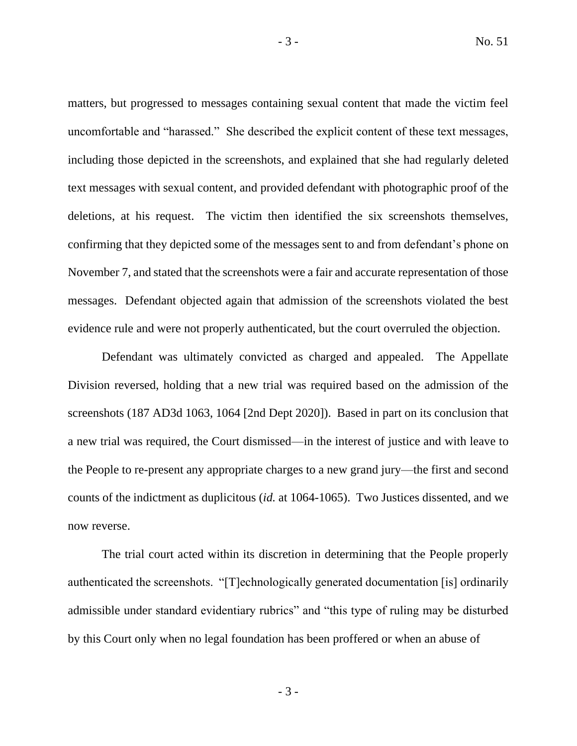matters, but progressed to messages containing sexual content that made the victim feel uncomfortable and "harassed." She described the explicit content of these text messages, including those depicted in the screenshots, and explained that she had regularly deleted text messages with sexual content, and provided defendant with photographic proof of the deletions, at his request. The victim then identified the six screenshots themselves, confirming that they depicted some of the messages sent to and from defendant's phone on November 7, and stated that the screenshots were a fair and accurate representation of those messages. Defendant objected again that admission of the screenshots violated the best evidence rule and were not properly authenticated, but the court overruled the objection.

Defendant was ultimately convicted as charged and appealed. The Appellate Division reversed, holding that a new trial was required based on the admission of the screenshots (187 AD3d 1063, 1064 [2nd Dept 2020]). Based in part on its conclusion that a new trial was required, the Court dismissed—in the interest of justice and with leave to the People to re-present any appropriate charges to a new grand jury—the first and second counts of the indictment as duplicitous (*id.* at 1064-1065). Two Justices dissented, and we now reverse.

The trial court acted within its discretion in determining that the People properly authenticated the screenshots. "[T]echnologically generated documentation [is] ordinarily admissible under standard evidentiary rubrics" and "this type of ruling may be disturbed by this Court only when no legal foundation has been proffered or when an abuse of

- 3 -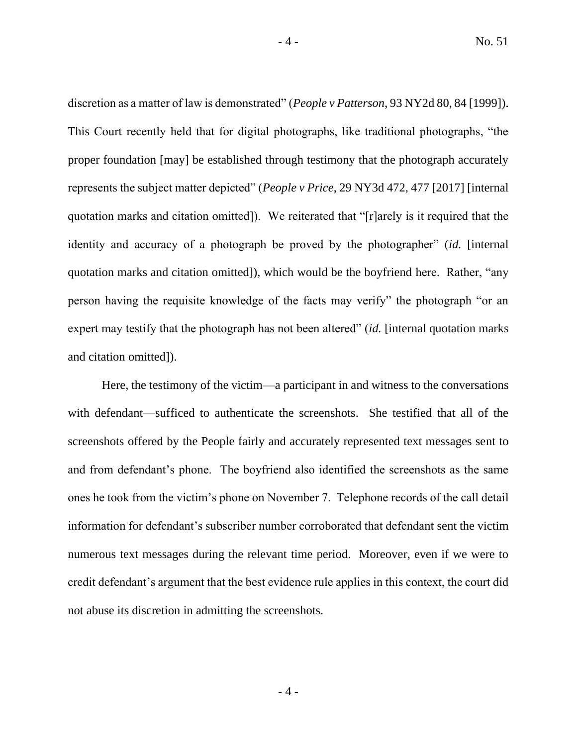discretion as a matter of law is demonstrated" (*People v Patterson*, 93 NY2d 80, 84 [1999]). This Court recently held that for digital photographs, like traditional photographs, "the proper foundation [may] be established through testimony that the photograph accurately represents the subject matter depicted" (*People v Price*, 29 NY3d 472, 477 [2017] [internal quotation marks and citation omitted]). We reiterated that "[r]arely is it required that the identity and accuracy of a photograph be proved by the photographer" (*id.* [internal quotation marks and citation omitted]), which would be the boyfriend here. Rather, "any person having the requisite knowledge of the facts may verify" the photograph "or an expert may testify that the photograph has not been altered" *(id.* [internal quotation marks and citation omitted]).

Here, the testimony of the victim—a participant in and witness to the conversations with defendant—sufficed to authenticate the screenshots. She testified that all of the screenshots offered by the People fairly and accurately represented text messages sent to and from defendant's phone. The boyfriend also identified the screenshots as the same ones he took from the victim's phone on November 7. Telephone records of the call detail information for defendant's subscriber number corroborated that defendant sent the victim numerous text messages during the relevant time period. Moreover, even if we were to credit defendant's argument that the best evidence rule applies in this context, the court did not abuse its discretion in admitting the screenshots.

 $-4 -$